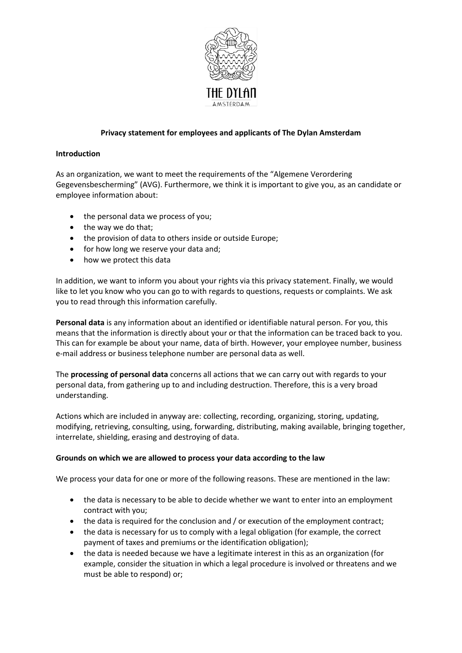

## **Privacy statement for employees and applicants of The Dylan Amsterdam**

#### **Introduction**

As an organization, we want to meet the requirements of the "Algemene Verordering Gegevensbescherming" (AVG). Furthermore, we think it is important to give you, as an candidate or employee information about:

- the personal data we process of you;
- the way we do that;
- the provision of data to others inside or outside Europe;
- for how long we reserve your data and;
- how we protect this data

In addition, we want to inform you about your rights via this privacy statement. Finally, we would like to let you know who you can go to with regards to questions, requests or complaints. We ask you to read through this information carefully.

**Personal data** is any information about an identified or identifiable natural person. For you, this means that the information is directly about your or that the information can be traced back to you. This can for example be about your name, data of birth. However, your employee number, business e-mail address or business telephone number are personal data as well.

The **processing of personal data** concerns all actions that we can carry out with regards to your personal data, from gathering up to and including destruction. Therefore, this is a very broad understanding.

Actions which are included in anyway are: collecting, recording, organizing, storing, updating, modifying, retrieving, consulting, using, forwarding, distributing, making available, bringing together, interrelate, shielding, erasing and destroying of data.

## **Grounds on which we are allowed to process your data according to the law**

We process your data for one or more of the following reasons. These are mentioned in the law:

- the data is necessary to be able to decide whether we want to enter into an employment contract with you;
- the data is required for the conclusion and / or execution of the employment contract;
- the data is necessary for us to comply with a legal obligation (for example, the correct payment of taxes and premiums or the identification obligation);
- the data is needed because we have a legitimate interest in this as an organization (for example, consider the situation in which a legal procedure is involved or threatens and we must be able to respond) or;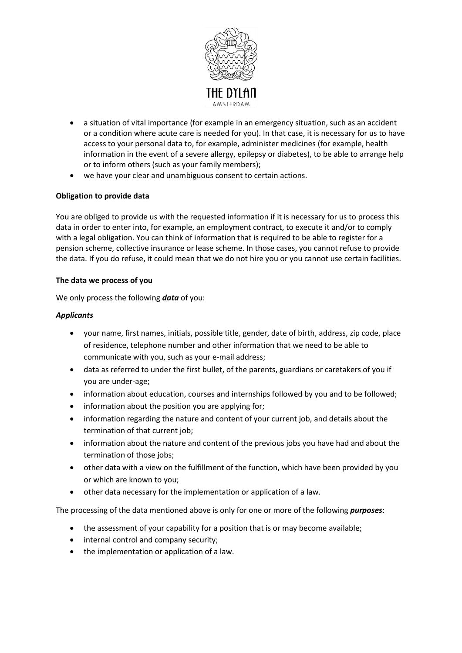

- a situation of vital importance (for example in an emergency situation, such as an accident or a condition where acute care is needed for you). In that case, it is necessary for us to have access to your personal data to, for example, administer medicines (for example, health information in the event of a severe allergy, epilepsy or diabetes), to be able to arrange help or to inform others (such as your family members);
- we have your clear and unambiguous consent to certain actions.

# **Obligation to provide data**

You are obliged to provide us with the requested information if it is necessary for us to process this data in order to enter into, for example, an employment contract, to execute it and/or to comply with a legal obligation. You can think of information that is required to be able to register for a pension scheme, collective insurance or lease scheme. In those cases, you cannot refuse to provide the data. If you do refuse, it could mean that we do not hire you or you cannot use certain facilities.

## **The data we process of you**

We only process the following *data* of you:

## *Applicants*

- your name, first names, initials, possible title, gender, date of birth, address, zip code, place of residence, telephone number and other information that we need to be able to communicate with you, such as your e-mail address;
- data as referred to under the first bullet, of the parents, guardians or caretakers of you if you are under-age;
- information about education, courses and internships followed by you and to be followed;
- information about the position you are applying for;
- information regarding the nature and content of your current job, and details about the termination of that current job;
- information about the nature and content of the previous jobs you have had and about the termination of those jobs;
- other data with a view on the fulfillment of the function, which have been provided by you or which are known to you;
- other data necessary for the implementation or application of a law.

The processing of the data mentioned above is only for one or more of the following *purposes*:

- the assessment of your capability for a position that is or may become available;
- internal control and company security;
- the implementation or application of a law.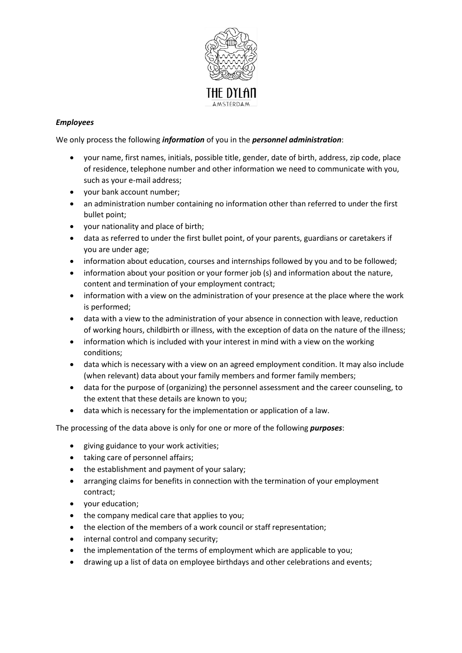

# *Employees*

We only process the following *information* of you in the *personnel administration*:

- your name, first names, initials, possible title, gender, date of birth, address, zip code, place of residence, telephone number and other information we need to communicate with you, such as your e-mail address;
- your bank account number;
- an administration number containing no information other than referred to under the first bullet point;
- your nationality and place of birth;
- data as referred to under the first bullet point, of your parents, guardians or caretakers if you are under age;
- information about education, courses and internships followed by you and to be followed;
- information about your position or your former job (s) and information about the nature, content and termination of your employment contract;
- information with a view on the administration of your presence at the place where the work is performed;
- data with a view to the administration of your absence in connection with leave, reduction of working hours, childbirth or illness, with the exception of data on the nature of the illness;
- information which is included with your interest in mind with a view on the working conditions;
- data which is necessary with a view on an agreed employment condition. It may also include (when relevant) data about your family members and former family members;
- data for the purpose of (organizing) the personnel assessment and the career counseling, to the extent that these details are known to you;
- data which is necessary for the implementation or application of a law.

The processing of the data above is only for one or more of the following *purposes*:

- giving guidance to your work activities;
- taking care of personnel affairs;
- the establishment and payment of your salary;
- arranging claims for benefits in connection with the termination of your employment contract;
- your education;
- the company medical care that applies to you;
- the election of the members of a work council or staff representation;
- internal control and company security;
- the implementation of the terms of employment which are applicable to you;
- drawing up a list of data on employee birthdays and other celebrations and events;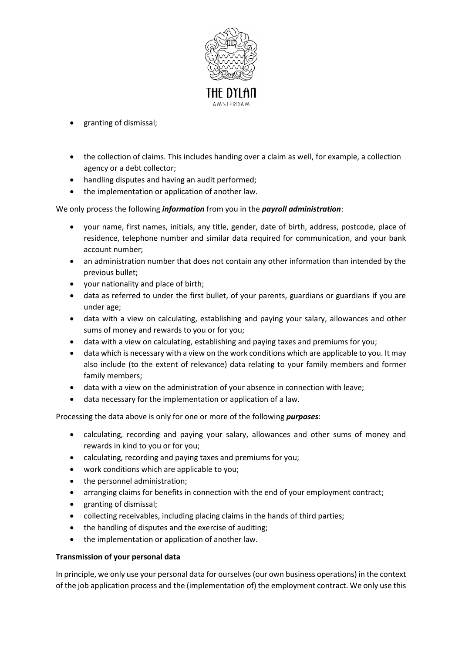

- granting of dismissal;
- the collection of claims. This includes handing over a claim as well, for example, a collection agency or a debt collector;
- handling disputes and having an audit performed;
- the implementation or application of another law.

## We only process the following *information* from you in the *payroll administration*:

- your name, first names, initials, any title, gender, date of birth, address, postcode, place of residence, telephone number and similar data required for communication, and your bank account number;
- an administration number that does not contain any other information than intended by the previous bullet;
- your nationality and place of birth;
- data as referred to under the first bullet, of your parents, guardians or guardians if you are under age;
- data with a view on calculating, establishing and paying your salary, allowances and other sums of money and rewards to you or for you;
- data with a view on calculating, establishing and paying taxes and premiums for you;
- data which is necessary with a view on the work conditions which are applicable to you. It may also include (to the extent of relevance) data relating to your family members and former family members;
- data with a view on the administration of your absence in connection with leave;
- data necessary for the implementation or application of a law.

Processing the data above is only for one or more of the following *purposes*:

- calculating, recording and paying your salary, allowances and other sums of money and rewards in kind to you or for you;
- calculating, recording and paying taxes and premiums for you;
- work conditions which are applicable to you;
- the personnel administration;
- arranging claims for benefits in connection with the end of your employment contract;
- granting of dismissal;
- collecting receivables, including placing claims in the hands of third parties;
- the handling of disputes and the exercise of auditing;
- the implementation or application of another law.

## **Transmission of your personal data**

In principle, we only use your personal data for ourselves (our own business operations) in the context of the job application process and the (implementation of) the employment contract. We only use this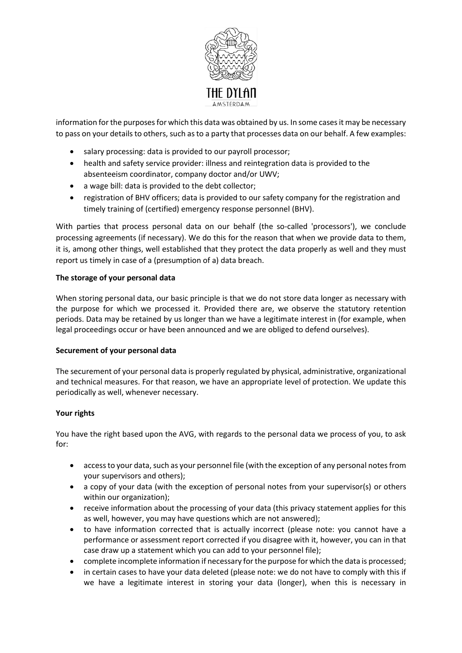

information for the purposes for which this data was obtained by us. In some cases it may be necessary to pass on your details to others, such as to a party that processes data on our behalf. A few examples:

- salary processing: data is provided to our payroll processor;
- health and safety service provider: illness and reintegration data is provided to the absenteeism coordinator, company doctor and/or UWV;
- a wage bill: data is provided to the debt collector;
- registration of BHV officers; data is provided to our safety company for the registration and timely training of (certified) emergency response personnel (BHV).

With parties that process personal data on our behalf (the so-called 'processors'), we conclude processing agreements (if necessary). We do this for the reason that when we provide data to them, it is, among other things, well established that they protect the data properly as well and they must report us timely in case of a (presumption of a) data breach.

#### **The storage of your personal data**

When storing personal data, our basic principle is that we do not store data longer as necessary with the purpose for which we processed it. Provided there are, we observe the statutory retention periods. Data may be retained by us longer than we have a legitimate interest in (for example, when legal proceedings occur or have been announced and we are obliged to defend ourselves).

## **Securement of your personal data**

The securement of your personal data is properly regulated by physical, administrative, organizational and technical measures. For that reason, we have an appropriate level of protection. We update this periodically as well, whenever necessary.

## **Your rights**

You have the right based upon the AVG, with regards to the personal data we process of you, to ask for:

- access to your data, such as your personnel file (with the exception of any personal notes from your supervisors and others);
- a copy of your data (with the exception of personal notes from your supervisor(s) or others within our organization);
- receive information about the processing of your data (this privacy statement applies for this as well, however, you may have questions which are not answered);
- to have information corrected that is actually incorrect (please note: you cannot have a performance or assessment report corrected if you disagree with it, however, you can in that case draw up a statement which you can add to your personnel file);
- complete incomplete information if necessary for the purpose for which the data is processed;
- in certain cases to have your data deleted (please note: we do not have to comply with this if we have a legitimate interest in storing your data (longer), when this is necessary in